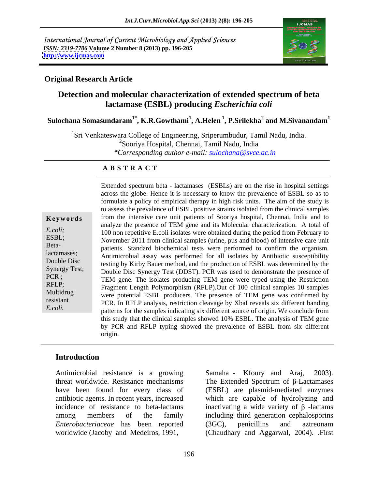International Journal of Current Microbiology and Applied Sciences *ISSN: 2319-7706* **Volume 2 Number 8 (2013) pp. 196-205 <http://www.ijcmas.com>**



# **Original Research Article**

# **Detection and molecular characterization of extended spectrum of beta lactamase (ESBL) producing** *Escherichia coli*

 $\boldsymbol{\mathrm{Sulochana\ Somasundaram}^{1*}}$ ,  $\boldsymbol{\mathrm{K.R.Gowthami}^{1}}, \boldsymbol{\mathrm{A.Helen}}^{1}, \boldsymbol{\mathrm{P.Srilekha}^{2}}$  and  $\boldsymbol{\mathrm{M.Sivanandam}^{1}}$  **and M.Sivanandam<sup>1</sup>**

<sup>1</sup>Sri Venkateswara College of Engineering, Sriperumbudur, Tamil Nadu, India. <sup>2</sup>Sooriya Hospital, Chennai, Tamil Nadu, India *\*Corresponding author e-mail: sulochana@svce.ac.in*

## **A B S T R A C T**

Beta-

**Keywords** from the intensive care unit patients of Sooriya hospital, Chennai, India and to *E.coli;*100 non repetitive E.coli isolates were obtained during the period from February to ESBL;<br>November 2011 from clinical samples (urine, pus and blood) of intensive care unit lactamases; Antimicrobial assay was performed for all isolates by Antibiotic susceptibility Double Disc testing by Kirby Bauer method, and the production of ESBL was determined by the Synergy Test;<br>
Double Disc Synergy Test (DDST). PCR was used to demonstrate the presence of PCR ;<br>TEM gene. The isolates producing TEM gene were typed using the Restriction RFLP;<br>Fragment Length Polymorphism (RFLP).Out of 100 clinical samples 10 samples Multidrug were potential ESBL producers. The presence of TEM gene was confirmed by resistant PCR. In RFLP analysis, restriction cleavage by XbaI reveals six different banding Extended spectrum beta - lactamases (ESBLs) are on the rise in hospital settings<br>across the globe. Hence it is necessary to know the prevalence of ESBL so as<br>formulate a policy of empirical therapy in high risk units. The across the globe. Hence it is necessary to know the prevalence of ESBL so as to formulate a policy of empirical therapy in high risk units. The aim of the study is to assess the prevalence of ESBL positive strains isolated from the clinical samples analyze the presence of TEM gene and its Molecular characterization. A total of patients. Standard biochemical tests were performed to confirm the organism. patterns for the samples indicating six different source of origin. We conclude from this study that the clinical samples showed 10% ESBL. The analysis of TEM gene by PCR and RFLP typing showed the prevalence of ESBL from six different origin.

# **Introduction**

Antimicrobial resistance is a growing Samaha - Kfoury and Araj, 2003). threat worldwide. Resistance mechanisms The Extended Spectrum of  $\beta$ -Lactamases have been found for every class of (ESBL) are plasmid-mediated enzymes antibiotic agents. In recent years, increased which are capable of hydrolyzing and incidence of resistance to beta-lactams inactivating a wide variety of  $\beta$  -lactams among members of the family including third generation cephalosporins *Enterobacteriaceae* has been reported worldwide (Jacoby and Medeiros, 1991,

Samaha - Kfoury and Araj, (3GC), penicillins and aztreonam (Chaudhary and Aggarwal, 2004). .First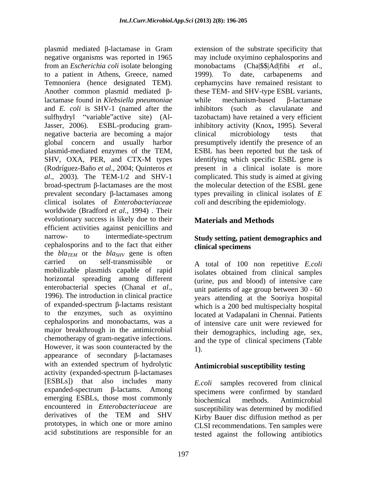plasmid mediated  $\beta$ -lactamase in Gram negative organisms was reported in 1965 may include oxyimino cephalosporins and from an *Escherichia coli* isolate belonging to a patient in Athens, Greece, named Temnoniera (hence designated TEM). cephamycins have remained resistant to Another common plasmid mediated  $\beta$ - these TEM- and SHV-type ESBL variants, lactamase found in *Klebsiella pneumoniae* while mechanism-based B-lactamase and *E. coli* is SHV-1 (named after the sulfhydryl "variable" active site) (Al- tazobactam) have retained a very efficient Jasser, 2006). ESBL-producing gram- inhibitory activity (Knox**,** 1995). Several negative bacteria are becoming a major clinical microbiology tests that global concern and usually harbor presumptively identify the presence of an plasmid-mediated enzymes of the TEM, ESBL has been reported but the task of SHV, OXA, PER, and CTX-M types identifying which specific ESBL gene is (Rodríguez-Baño *et al*., 2004; Quinteros *et al*., 2003). The TEM-1/2 and SHV-1 complicated. This study is aimed at giving broad-spectrum  $\beta$ -lactamases are the most the molecular detection of the ESBL gene prevalent secondary  $\beta$ -lactamases among types prevailing in clinical isolates of  $E$ clinical isolates of *Enterobacteriaceae* worldwide (Bradford *et al.,* 1994) . Their evolutionary success is likely due to their efficient activities against penicillins and narrow- to intermediate-spectrum **Study setting, patient demographics and**  cephalosporins and to the fact that either clinical specimens the  $bla_{TEM}$  or the  $bla_{SHV}$  gene is often carried on self-transmissible or A total of 100 non repetitive E.coli mobilizable plasmids capable of rapid horizontal spreading among different enterobacterial species (Chanal *et al.*, unit patients of age group between 30 - 60<br>1996). The introduction in clinical practice vears attending at the Sooriva hospital of expanded-spectrum  $\beta$ -lactams resistant to the enzymes, such as oxyimino cephalosporins and monobactams, was a major breakthrough in the antimicrobial chemotherapy of gram-negative infections. However, it was soon counteracted by the  $\frac{1}{1}$ . appearance of secondary  $\beta$ -lactamases with an extended spectrum of hydrolytic activity (expanded-spectrum  $\beta$ -lactamases [ESBLs]) that also includes many *E.coli* samples recovered from clinical  $expanded-spectrum$   $\beta$ -lactams. Among emerging ESBLs, those most commonly biochemical methods. Antimicrobial encountered in *Enterobacteriaceae* are susceptibility was determined by modified derivatives of the TEM and SHV  $\overrightarrow{Kirbv}$  Bauer disc diffusion method as ner prototypes, in which one or more amino acid substitutions are responsible for an

extension of the substrate specificity that monobactams (Cha|\$\$|Ad|fibi *et al*., 1999). To date, carbapenems and while mechanism-based  $\beta$ -lactamase inhibitors (such as clavulanate and clinical microbiology tests that identifying which specific ESBL gene is present in a clinical isolate is more *coli* and describing the epidemiology.

# **Materials and Methods**

# **clinical specimens**

<sup>A</sup> total of <sup>100</sup> non repetitive *E.coli* isolates obtained from clinical samples (urine, pus and blood) of intensive care unit patients of age group between 30 - 60 years attending at the Sooriya hospital which is a 200 bed multispecialty hospital located at Vadapalani in Chennai. Patients of intensive care unit were reviewed for their demographics, including age, sex, and the type of clinical specimens (Table 1).

# **Antimicrobial susceptibility testing**

specimens were confirmed by standard biochemical methods. Antimicrobial Kirby Bauer disc diffusion method as per CLSI recommendations. Ten samples were tested against the following antibiotics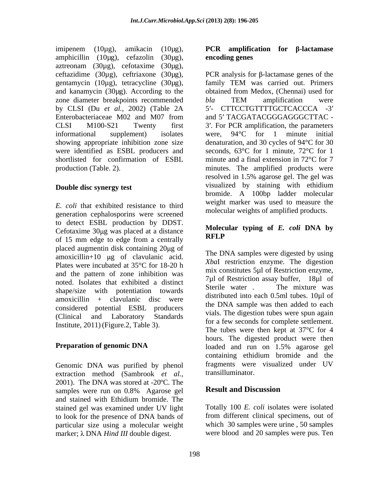imipenem (10µg), amikacin (10µg), **PCR amplification for -lactamase**  amphicillin (10μg), cefazolin (30μg), **encoding-genes**<br>aztreonam (30μg), cefotaxime (30μg), gentamycin (10µg), tetracycline (30µg), family TEM was carried out. Primers and kanamycin (30µg). According to the zone diameter breakpoints recommended bla TEM amplification were by CLSI (Du *et al.,* 2002) (Table 2A

*E. coli* that exhibited resistance to third generation cephalosporins were screened to detect ESBL production by DDST. Cefotaxime  $30\mu$ g was placed at a distance **NOICE** of 15 mm edge to edge from a centrally placed augmentin disk containing 20 ug of amoxicillin+10  $\mu$ g of clavulanic acid. Plates were incubated at 35°C for 18-20 h and the pattern of zone inhibition was noted. Isolates that exhibited a distinct<br>Sterile water . The mixture was shape/size with potentiation towards amoxicillin + clavulanic disc were considered potential ESBL producers Institute, 2011) (Figure.2, Table 3).

Genomic DNA was purified by phenol extraction method (Sambrook *et al.,* 2001). The DNA was stored at  $-20^{\circ}$ C. The<br>samples were run on 0.8% Agarose gel **Result and Discussion** samples were run on 0.8% Agarose gel **Kesult and Discussion** and stained with Ethidium bromide. The stained gel was examined under UV light to look for the presence of DNA bands of particular size using a molecular weight marker; λ DNA *Hind III* double digest.

# **encoding genes**

ceftazidime (30 $\mu$ g), ceftriaxone (30 $\mu$ g), PCR analysis for  $\beta$ -lactamase genes of the Enterobacteriaceae M02 and M07 from and 5' TACGATACGGGAGGGCTTAC -CLSI M100-S21 Twenty first 3 . For PCR amplification, the parameters informational supplement) isolates were, 94°C for 1 minute initial showing appropriate inhibition zone size denaturation, and 30 cycles of 94°C for 30 were identified as ESBL producers and seconds, 63°C for 1 minute, 72°C for 1 shortlisted for confirmation of ESBL minute and a final extension in 72°C for 7 production (Table. 2). minutes. The amplified products were **Double disc synergy test** visualized by staining with ethidium family TEM was carried out. Primers obtained from Medox, (Chennai) used for *bla* TEM amplification were 5'- CTTCCTGTTTTGCTCACCCA -3' and 5' TACGATACGGGAGGGCTTAC were, 94°C for 1 minute initial resolved in 1.5% agarose gel. The gel was visualized by staining with ethidium bromide. A 100bp ladder molecular weight marker was used to measure the molecular weights of amplified products.

## **Molecular typing of** *E. coli* **DNA by RFLP**

(Clinical and Laboratory Standards vials. The digestion three span again **Preparation of genomic DNA** loaded and run on 1.5% agarose gel The DNA samples were digested by using *Xba*I restriction enzyme. The digestion mix constitutes 5µl of Restriction enzyme, 7µl of Restriction assay buffer, 18µl of Sterile water . The mixture was distributed into each 0.5ml tubes. 10µl of the DNA sample was then added to each vials. The digestion tubes were spun again for a few seconds for complete settlement. The tubes were then kept at 37°C for 4 hours. The digested product were then loaded and run on 1.5% agarose gel containing ethidium bromide and the fragments were visualized under UV transilluminator.

# **Result and Discussion**

Totally 100 *E. coli* isolates were isolated from different clinical specimens, out of which 30 samples were urine , 50 samples were blood and 20 samples were pus. Ten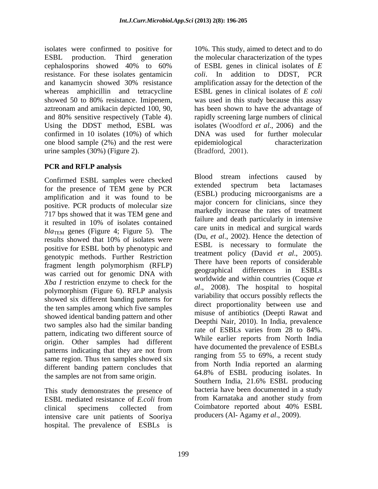isolates were confirmed to positive for 10%. This study, aimed to detect and to do ESBL production. Third generation the molecular characterization of the types cephalosporins showed 40% to 60% of ESBL genes in clinical isolates of  $E$ resistance. For these isolates gentamicin *coli*. In addition to DDST, PCR and kanamycin showed 30% resistance whereas amphicillin and tetracycline ESBL genes in clinical isolates of *E coli* showed 50 to 80% resistance. Imipenem, was used in this study because this assay aztreonam and amikacin depicted 100, 90, has been shown to have the advantage of and 80% sensitive respectively (Table 4). rapidly screening large numbers of clinical Using the DDST method, ESBL was isolates (Woodford *et al*., 2006) and the confirmed in 10 isolates (10%) of which DNA was used for further molecular one blood sample (2%) and the rest were epidemiological characterization urine samples (30%) (Figure 2). (Bradford, 2001).

# **PCR and RFLP analysis**

amplification and it was found to be positive. PCR products of molecular size results showed that 10% of isolates were positive for ESBL both by phenotypic and genotypic methods. Further Restriction was carried out for genomic DNA with  $\frac{\text{geographical}}{\text{geographical}}$  differences in ESBLs *Xba I* restriction enzyme to check for the polymorphism (Figure 6). RFLP analysis showed six different banding patterns for the ten samples among which five samples showed identical banding pattern and other two samples also had the similar banding<br>rate of ESBLs varies from 28 to 84%. pattern, indicating two different source of origin. Other samples had different same region. Thus ten samples showed six different banding pattern concludes that

This study demonstrates the presence of bacteria have been documented in a study<br>ESBI mediated resistance of *E* coli from from Karnataka and another study from ESBL mediated resistance of *E.coli* from trom Karnataka and another study from clinical specimens collected from Coimbatore reported about 40% ESBL intensive care unit patients of Sooriya hospital. The prevalence of ESBLs is

of ESBL genes in clinical isolates of *E*  amplification assay for the detection of the was used in this study because this assay DNA was used for further molecular epidemiological characterization (Bradford, 2001). Blood stream infections caused by

Confirmed ESBL samples were checked<br>for the greenes of TEM gave by DCD<br>contended spectrum beta lactamases for the presence of TEM gene by PCR<br>  $\overline{C}$ 717 bps showed that it was TEM gene and that recupred the rates of the relation it resulted in 10% of isolates contained<br> $\frac{1}{2}$ *bla*<sub>TEM</sub> genes (Figure 4; Figure 5). The care units in included and surgical wards fragment length polymorphism (RFLP) There have been reports of considerable patterns indicating that they are not from the second intervals are prevalence of ESDEs the samples are not from same origin.<br>Southern India, 21.6% ESBL producing clinical specimens collected from Coimbatore reported about 40% ESBL extended spectrum beta lactamases (ESBL) producing microorganisms are a major concern for clinicians, since they markedly increase the rates of treatment failure and death particularly in intensive care units in medical and surgical wards (Du, *et al*., 2002). Hence the detection of ESBL is necessary to formulate the treatment policy (David *et al*., 2005). There have been reports of considerable geographical differences in ESBLs worldwide and within countries (Coque *et al*., 2008). The hospital to hospital variability that occurs possibly reflects the direct proportionality between use and misuse of antibiotics (Deepti Rawat and Deepthi Nair, 2010). In India, prevalence rate of ESBLs varies from 28 to 84%. While earlier reports from North India have documented the prevalence of ESBLs ranging from 55 to 69%, a recent study from North India reported an alarming 64.8% of ESBL producing isolates. In Southern India, 21.6% ESBL producing bacteria have been documented in a study from Karnataka and another study from Coimbatore reported about 40% ESBL producers (Al- Agamy *et al*., 2009).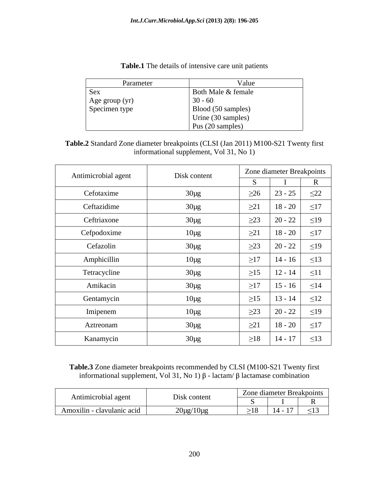| Parameter      | Value              |
|----------------|--------------------|
| <b>Sex</b>     | Both Male & female |
| Age group (yr) | $30 - 60$          |
| Specimen type  | Blood (50 samples) |
|                | Urine (30 samples) |
|                | Pus (20 samples)   |

**Table.1** The details of intensive care unit patients

| Table.2 Standard Zone<br>$\text{CLSI}$ (Jan 2011).<br>$'$ ) M100-S21 Twenty first<br>er breakpoints (C)<br>e diamete |  |
|----------------------------------------------------------------------------------------------------------------------|--|
| $\cdot$ Vol 31, No 1,<br>supplement,<br>tormational                                                                  |  |

| Antimicrobial agent | Disk content |           | Zone diameter Breakpoints |           |
|---------------------|--------------|-----------|---------------------------|-----------|
|                     |              |           |                           |           |
| Cefotaxime          | $30\mu g$    | $\geq 26$ | $23 - 25$                 | $\leq$ 22 |
| Ceftazidime         | $30\mu g$    | $\geq 21$ | $18 - 20$                 | $\leq$ 17 |
| Ceftriaxone         | $30\mu g$    | $\geq$ 23 | $20 - 22$                 | $\leq$ 19 |
| Cefpodoxime         | $10\mu g$    | $\geq 21$ | $18 - 20$                 | $\leq$ 17 |
| Cefazolin           | $30\mu g$    | $\geq$ 23 | $20 - 22$                 | $\leq$ 19 |
| Amphicillin         | $10\mu g$    | $\geq$ 17 | $14 - 16$                 | $\leq$ 13 |
| Tetracycline        | $30\mu g$    | $\geq$ 15 | $12 - 14$                 | $\leq 11$ |
| Amikacin            | $30\mu g$    | $\geq$ 17 | $15 - 16$                 | $\leq$ 14 |
| Gentamycin          | $10\mu g$    | $\geq15$  | $13 - 14$                 | $\leq 12$ |
| Imipenem            | $10\mu g$    | $\geq$ 23 | $20 - 22$                 | $\leq$ 19 |
| Aztreonam           | $30\mu g$    | $\geq$ 21 | $18 - 20$                 | $\leq$ 17 |
| Kanamycin           | $30\mu g$    | $\geq18$  | $14 - 17$                 | $\leq$ 13 |

**Table.3** Zone diameter breakpoints recommended by CLSI (M100-S21 Twenty first informational supplement, Vol 31, No 1)  $\beta$  - lactam/  $\beta$  lactamase combination

|                            | $  -$                        | diameter Breakpoints<br><i>L</i> one               |
|----------------------------|------------------------------|----------------------------------------------------|
| Antimicrobial agent        | Disk content                 |                                                    |
| Amoxilin - clavulanic acid | $\sim$<br>$U\mu\mu$ 10 $\mu$ | 17<br>$-1^{\sim}$<br>$14 - 17$<br>$\geq 1.5$<br>-- |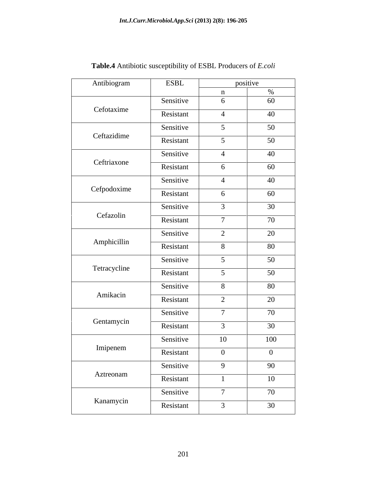| Antibiogram  | <b>ESBL</b> |                                       | positive |
|--------------|-------------|---------------------------------------|----------|
|              |             |                                       |          |
| Cefotaxime   | Sensitive   | -6                                    | 60       |
|              | Resistant   |                                       | 40       |
|              | Sensitive   | $\leq$                                | 50       |
| Ceftazidime  | Resistant   | $\epsilon$                            | 50       |
|              | Sensitive   |                                       | 40       |
| Ceftriaxone  | Resistant   |                                       |          |
|              |             |                                       | 60       |
| Cefpodoxime  | Sensitive   |                                       | 40       |
|              | Resistant   | 6                                     | 60       |
|              | Sensitive   |                                       | 30       |
| Cefazolin    | Resistant   | $\overline{ }$                        | 70       |
|              | Sensitive   | $\bigcap$<br>$\overline{\phantom{0}}$ | 20       |
| Amphicillin  | Resistant   | -8                                    | 80       |
|              | Sensitive   |                                       | 50       |
| Tetracycline |             | $\sim$                                |          |
|              | Resistant   |                                       | 50       |
| Amikacin     | Sensitive   | -8                                    | 80       |
|              | Resistant   | $\bigcap$<br>$\overline{a}$           | 20       |
|              | Sensitive   |                                       | 70       |
| Gentamycin   | Resistant   |                                       | 30       |
|              | Sensitive   | 10                                    | 100      |
| Imipenem     | Resistant   | $\Omega$                              | $\Omega$ |
|              | Sensitive   | 9                                     | 90       |
| Aztreonam    |             |                                       |          |
|              | Resistant   |                                       | 10       |
|              | Sensitive   | $\mathbf{\tau}$                       | 70       |
| Kanamycin    | Resistant   |                                       | 30       |

**Table.4** Antibiotic susceptibility of ESBL Producers of *E.coli*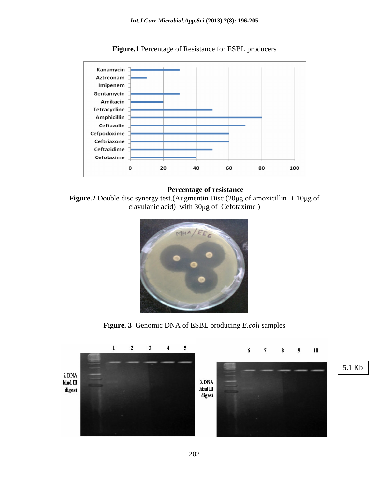

**Figure.1** Percentage of Resistance for ESBL producers

### **Percentage of resistance**

**Figure.2** Double disc synergy test.(Augmentin Disc  $(20\mu g)$  of amoxicillin + 10 $\mu$ g of clavulanic acid) with 30µg of Cefotaxime )



**Figure. 3** Genomic DNA of ESBL producing *E.coli* samples

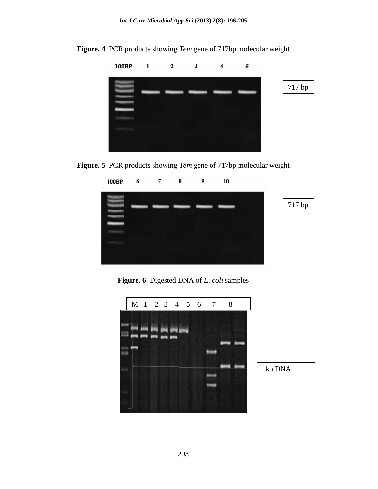

**Figure. 4** PCR products showing *Tem* gene of 717bp molecular weight





**Figure. 6** Digested DNA of *E. coli* samples



1kb DNA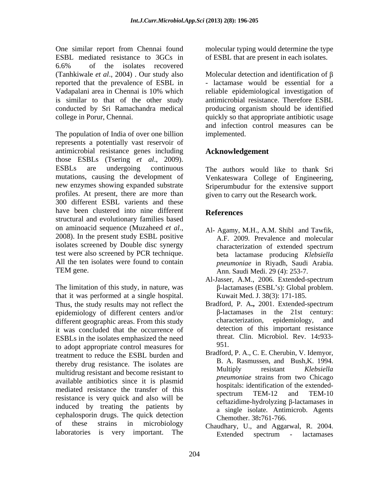One similar report from Chennai found molecular typing would determine the type ESBL mediated resistance to 3GCs in of ESBL that are present in each isolates. 6.6% of the isolates recovered (Tanhkiwale *et al.*, 2004). Our study also Molecular detection and identification of  $\beta$ reported that the prevalence of ESBL in Vadapalani area in Chennai is 10% which reliable epidemiological investigation of is similar to that of the other study antimicrobial resistance. Therefore ESBL conducted by Sri Ramachandra medical producing organism should be identified

The population of India of over one billion implemented. represents a potentially vast reservoir of antimicrobial resistance genes including those ESBLs (Tsering *et al.*, 2009).<br>ESBLs are undergoing continuous The authors would like to thank Sri mutations, causing the development of Venkateswara College of Engineering, new enzymes showing expanded substrate Sriperumbudur for the extensive support profiles. At present, there are more than 300 different ESBL varients and these have been clustered into nine different References structural and evolutionary families based on aminoacid sequence (Muzaheed *et al.*,<br>2008). In the present study ESBL positive  $\overline{AP}$  2009 Prevalence and molecular isolates screened by Double disc synergy test were also screened by PCR technique. All the ten isolates were found to contain *pneumoniae* in Riyadh, Saudi Arabia.

The limitation of this study, in nature, was  $\beta$ -lactamases (ESBL's): Global problem. that it was performed at a single hospital. Thus, the study results may not reflect the Bradford, P. A., 2001. Extended-spectrum enidemiology of different centers and/or  $\beta$ -lactamases in the 21st century: epidemiology of different centers and/or  $\beta$ -lactamases in the 21st ce<br>different geographic areas From this study characterization, epidemiology, different geographic areas. From this study characterization, epidemiology, and it was concluded that the occurrence of ESBLs in the isolates emphasized the need<br>the adopt appropriate control measures for the 951 to adopt appropriate control measures for treatment to reduce the ESBL burden and thereby drug resistance. The isolates are **B.** A. Kasmussen, and Bush, K. 1994.<br>
Multiply resistant *Klebsiella* multidrug resistant and become resistant to<br>*pneumoniae* strains from two Chicago available antibiotics since it is plasmid mediated resistance the transfer of this mosphals. definition of the extended-<br>spectrum TEM-12 and TEM-10 resistance is very quick and also will be induced by treating the patients by cephalosporin drugs. The quick detection of these strains in microbiology Chaudhary, U., and Aggarwal, R. 2004.

college in Porur, Chennai. quickly so that appropriate antibiotic usage - lactamase would be essential for a and infection control measures can be implemented.

# **Acknowledgement**

The authors would like to thank Sri Venkateswara College of Engineering, Sriperumbudur for the extensive support given to carry out the Research work.

# **References**

- TEM gene. Ann. Saudi Medi. 29 (4): 253-7. Al- Agamy, M.H., A.M. Shibl and Tawfik, A.F. 2009. Prevalence and molecular characterization of extended spectrum beta lactamase producing *Klebsiella* 
	- Al-Jasser, A.M., 2006. Extended-spectrum  $\beta$ -lactamases (ESBL's): Global problem. Kuwait Med. J. 38(3): 171-185.
	- Bradford, P. A., 2001. Extended-spectrum β-lactamases in the 21st century: characterization, epidemiology, and detection of this important resistance threat. Clin. Microbiol. Rev. 14**:**933- 951.
	- Bradford, P. A., C. E. Cherubin, V. Idemyor, B. A. Rasmussen, and Bush,K. 1994. Multiply resistant *Klebsiella pneumoniae* strains from two Chicago hospitals: identification of the extended spectrum TEM-12 and TEM-10  $ceftazidime-hydrolyzing \beta-lactamases$  in a single isolate. Antimicrob. Agents Chemother. 38**:**761-766.
- laboratories is very important. The Extended spectrum lactamases Extended spectrum - lactamases